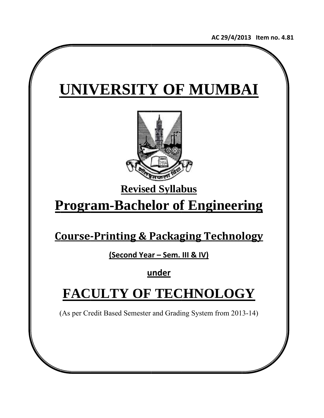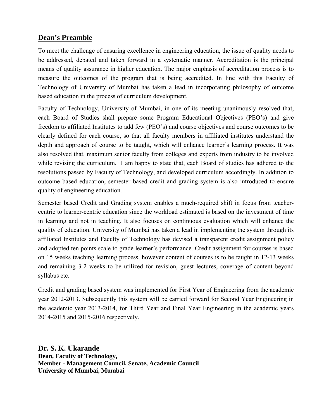## **Dean's Preamble**

To meet the challenge of ensuring excellence in engineering education, the issue of quality needs to be addressed, debated and taken forward in a systematic manner. Accreditation is the principal means of quality assurance in higher education. The major emphasis of accreditation process is to measure the outcomes of the program that is being accredited. In line with this Faculty of Technology of University of Mumbai has taken a lead in incorporating philosophy of outcome based education in the process of curriculum development.

Faculty of Technology, University of Mumbai, in one of its meeting unanimously resolved that, each Board of Studies shall prepare some Program Educational Objectives (PEO's) and give freedom to affiliated Institutes to add few (PEO's) and course objectives and course outcomes to be clearly defined for each course, so that all faculty members in affiliated institutes understand the depth and approach of course to be taught, which will enhance learner's learning process. It was also resolved that, maximum senior faculty from colleges and experts from industry to be involved while revising the curriculum. I am happy to state that, each Board of studies has adhered to the resolutions passed by Faculty of Technology, and developed curriculum accordingly. In addition to outcome based education, semester based credit and grading system is also introduced to ensure quality of engineering education.

Semester based Credit and Grading system enables a much-required shift in focus from teachercentric to learner-centric education since the workload estimated is based on the investment of time in learning and not in teaching. It also focuses on continuous evaluation which will enhance the quality of education. University of Mumbai has taken a lead in implementing the system through its affiliated Institutes and Faculty of Technology has devised a transparent credit assignment policy and adopted ten points scale to grade learner's performance. Credit assignment for courses is based on 15 weeks teaching learning process, however content of courses is to be taught in 12-13 weeks and remaining 3-2 weeks to be utilized for revision, guest lectures, coverage of content beyond syllabus etc.

Credit and grading based system was implemented for First Year of Engineering from the academic year 2012-2013. Subsequently this system will be carried forward for Second Year Engineering in the academic year 2013-2014, for Third Year and Final Year Engineering in the academic years 2014-2015 and 2015-2016 respectively.

**Dr. S. K. Ukarande Dean, Faculty of Technology, Member - Management Council, Senate, Academic Council University of Mumbai, Mumbai**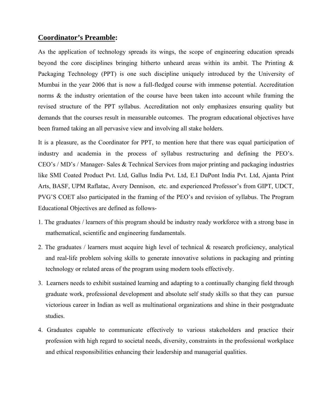## **Coordinator's Preamble:**

As the application of technology spreads its wings, the scope of engineering education spreads beyond the core disciplines bringing hitherto unheard areas within its ambit. The Printing & Packaging Technology (PPT) is one such discipline uniquely introduced by the University of Mumbai in the year 2006 that is now a full-fledged course with immense potential. Accreditation norms & the industry orientation of the course have been taken into account while framing the revised structure of the PPT syllabus. Accreditation not only emphasizes ensuring quality but demands that the courses result in measurable outcomes. The program educational objectives have been framed taking an all pervasive view and involving all stake holders.

It is a pleasure, as the Coordinator for PPT, to mention here that there was equal participation of industry and academia in the process of syllabus restructuring and defining the PEO's. CEO's / MD's / Manager- Sales & Technical Services from major printing and packaging industries like SMI Coated Product Pvt. Ltd, Gallus India Pvt. Ltd, E.I DuPont India Pvt. Ltd, Ajanta Print Arts, BASF, UPM Raflatac, Avery Dennison, etc. and experienced Professor's from GIPT, UDCT, PVG'S COET also participated in the framing of the PEO's and revision of syllabus. The Program Educational Objectives are defined as follows-

- 1. The graduates / learners of this program should be industry ready workforce with a strong base in mathematical, scientific and engineering fundamentals.
- 2. The graduates / learners must acquire high level of technical & research proficiency, analytical and real-life problem solving skills to generate innovative solutions in packaging and printing technology or related areas of the program using modern tools effectively.
- 3. Learners needs to exhibit sustained learning and adapting to a continually changing field through graduate work, professional development and absolute self study skills so that they can pursue victorious career in Indian as well as multinational organizations and shine in their postgraduate studies.
- 4. Graduates capable to communicate effectively to various stakeholders and practice their profession with high regard to societal needs, diversity, constraints in the professional workplace and ethical responsibilities enhancing their leadership and managerial qualities.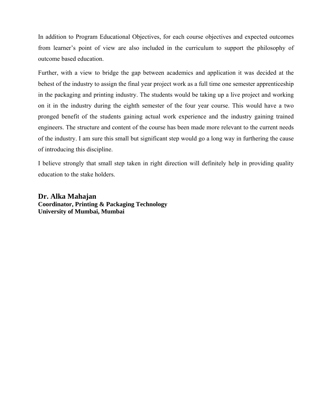In addition to Program Educational Objectives, for each course objectives and expected outcomes from learner's point of view are also included in the curriculum to support the philosophy of outcome based education.

Further, with a view to bridge the gap between academics and application it was decided at the behest of the industry to assign the final year project work as a full time one semester apprenticeship in the packaging and printing industry. The students would be taking up a live project and working on it in the industry during the eighth semester of the four year course. This would have a two pronged benefit of the students gaining actual work experience and the industry gaining trained engineers. The structure and content of the course has been made more relevant to the current needs of the industry. I am sure this small but significant step would go a long way in furthering the cause of introducing this discipline.

I believe strongly that small step taken in right direction will definitely help in providing quality education to the stake holders.

**Dr. Alka Mahajan Coordinator, Printing & Packaging Technology University of Mumbai, Mumbai**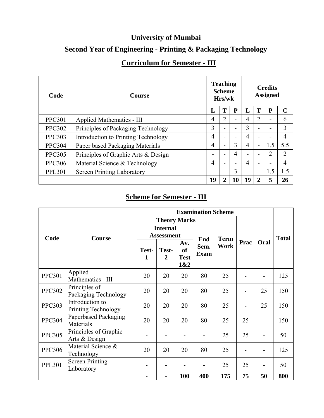# **University of Mumbai**

# **Second Year of Engineering - Printing & Packaging Technology**

# **Curriculum for Semester - III**

| Code          | <b>Course</b>                       | <b>Teaching</b><br><b>Scheme</b><br>Hrs/wk |                | <b>Credits</b><br><b>Assigned</b> |                |                         |           |                |
|---------------|-------------------------------------|--------------------------------------------|----------------|-----------------------------------|----------------|-------------------------|-----------|----------------|
|               |                                     | L                                          | T              | P                                 | L              | T                       | ${\bf P}$ | $\mathbf C$    |
| <b>PPC301</b> | Applied Mathematics - III           | 4                                          | $\overline{2}$ |                                   | 4              | 2                       | -         | 6              |
| <b>PPC302</b> | Principles of Packaging Technology  | 3                                          |                |                                   | 3              |                         | -         | 3              |
| <b>PPC303</b> | Introduction to Printing Technology | 4                                          |                |                                   | 4              |                         | -         | $\overline{4}$ |
| <b>PPC304</b> | Paper based Packaging Materials     | $\overline{4}$                             | $\blacksquare$ | 3                                 | $\overline{4}$ | $\blacksquare$          | 1.5       | 5.5            |
| <b>PPC305</b> | Principles of Graphic Arts & Design | -                                          | ۰              | 4                                 | -              |                         | 2         | 2              |
| <b>PPC306</b> | Material Science & Technology       | 4                                          |                |                                   | 4              |                         | -         | $\overline{4}$ |
| <b>PPL301</b> | <b>Screen Printing Laboratory</b>   | -                                          | ۰              | 3                                 | -              | ۰                       | 1.5       | 1.5            |
|               |                                     | 19                                         | $\overline{2}$ | 10                                | 19             | $\overline{\mathbf{2}}$ | 5         | 26             |

## **Scheme for Semester - III**

|               |                                        | <b>Examination Scheme</b>            |                         |                                 |                            |                     |      |      |              |
|---------------|----------------------------------------|--------------------------------------|-------------------------|---------------------------------|----------------------------|---------------------|------|------|--------------|
|               |                                        |                                      | <b>Theory Marks</b>     |                                 |                            |                     |      |      |              |
| Code          | <b>Course</b>                          | <b>Internal</b><br><b>Assessment</b> |                         |                                 |                            |                     |      |      | <b>Total</b> |
|               |                                        | Test-<br>1                           | Test-<br>$\overline{2}$ | Av.<br>of<br><b>Test</b><br>1&2 | End<br>Sem.<br><b>Exam</b> | <b>Term</b><br>Work | Prac | Oral |              |
| <b>PPC301</b> | Applied<br>Mathematics - III           | 20                                   | 20                      | 20                              | 80                         | 25                  |      |      | 125          |
| <b>PPC302</b> | Principles of<br>Packaging Technology  | 20                                   | 20                      | 20                              | 80                         | 25                  |      | 25   | 150          |
| <b>PPC303</b> | Introduction to<br>Printing Technology | 20                                   | 20                      | 20                              | 80                         | 25                  |      | 25   | 150          |
| <b>PPC304</b> | Paperbased Packaging<br>Materials      | 20                                   | 20                      | 20                              | 80                         | 25                  | 25   |      | 150          |
| <b>PPC305</b> | Principles of Graphic<br>Arts & Design |                                      |                         |                                 |                            | 25                  | 25   |      | 50           |
| <b>PPC306</b> | Material Science &<br>Technology       | 20                                   | 20                      | 20                              | 80                         | 25                  |      |      | 125          |
| <b>PPL301</b> | <b>Screen Printing</b><br>Laboratory   |                                      |                         |                                 |                            | 25                  | 25   |      | 50           |
|               |                                        |                                      |                         | <b>100</b>                      | 400                        | 175                 | 75   | 50   | 800          |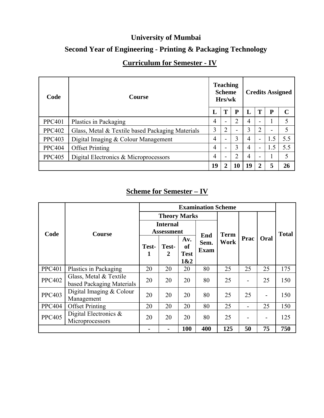# **University of Mumbai**

# **Second Year of Engineering - Printing & Packaging Technology**

# **Curriculum for Semester - IV**

| Code          | <b>Course</b>                                    |    | <b>Teaching</b><br><b>Scheme</b><br>Hrs/wk |                | <b>Credits Assigned</b> |                          |                           |              |  |
|---------------|--------------------------------------------------|----|--------------------------------------------|----------------|-------------------------|--------------------------|---------------------------|--------------|--|
|               |                                                  | L  |                                            | P              | L                       | Т                        | P<br>-<br>1.5<br>1.5<br>5 | $\mathcal C$ |  |
| <b>PPC401</b> | Plastics in Packaging                            | 4  |                                            | $\overline{2}$ | 4                       |                          |                           |              |  |
| <b>PPC402</b> | Glass, Metal & Textile based Packaging Materials | 3  | 2                                          |                | 3                       | $\overline{2}$           |                           |              |  |
| <b>PPC403</b> | Digital Imaging & Colour Management              | 4  |                                            | 3              | 4                       | $\blacksquare$           |                           | 5.5          |  |
| <b>PPC404</b> | <b>Offset Printing</b>                           | 4  |                                            | 3              | 4                       | $\blacksquare$           |                           | 5.5          |  |
| <b>PPC405</b> | Digital Electronics & Microprocessors            | 4  |                                            | ↑              | 4                       | $\overline{\phantom{0}}$ |                           |              |  |
|               |                                                  | 19 |                                            | 10             | 19                      | $\overline{\mathbf{2}}$  |                           | 26           |  |

## **Scheme for Semester – IV**

|               |                                                     | <b>Examination Scheme</b>            |            |                                 |                            |             |      |      |              |
|---------------|-----------------------------------------------------|--------------------------------------|------------|---------------------------------|----------------------------|-------------|------|------|--------------|
|               |                                                     | <b>Theory Marks</b>                  |            |                                 |                            |             |      |      |              |
| Code          | <b>Course</b>                                       | <b>Internal</b><br><b>Assessment</b> |            |                                 |                            | <b>Term</b> |      |      | <b>Total</b> |
|               |                                                     | Test-<br>1                           | Test-<br>2 | Av.<br>of<br><b>Test</b><br>1&2 | End<br>Sem.<br><b>Exam</b> | Work        | Prac | Oral |              |
| <b>PPC401</b> | Plastics in Packaging                               | 20                                   | 20         | 20                              | 80                         | 25          | 25   | 25   | 175          |
| <b>PPC402</b> | Glass, Metal & Textile<br>based Packaging Materials | 20                                   | 20         | 20                              | 80                         | 25          |      | 25   | 150          |
| <b>PPC403</b> | Digital Imaging $&$ Colour<br>Management            | 20                                   | 20         | 20                              | 80                         | 25          | 25   |      | 150          |
| <b>PPC404</b> | <b>Offset Printing</b>                              | 20                                   | 20         | 20                              | 80                         | 25          |      | 25   | 150          |
| <b>PPC405</b> | Digital Electronics $\&$<br>Microprocessors         | 20                                   | 20         | 20                              | 80                         | 25          |      |      | 125          |
|               |                                                     |                                      |            | 100                             | 400                        | 125         | 50   | 75   | 750          |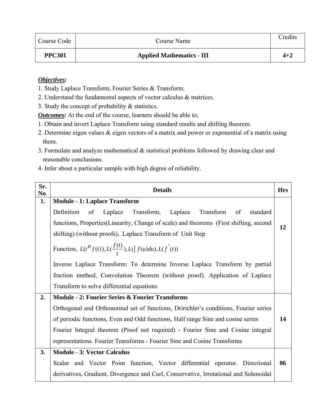| Course Code   | Course Name                      | Credits |
|---------------|----------------------------------|---------|
| <b>PPC301</b> | <b>Applied Mathematics - III</b> | $4 + 2$ |

- 1. Study Laplace Transform, Fourier Series & Transform.
- 2. Understand the fundamental aspects of vector calculus & matrices.
- 3. Study the concept of probability & statistics.

*Outcomes:* At the end of the course, learners should be able to;

- 1. Obtain and invert Laplace Transform using standard results and shifting theorem.
- 2. Determine eigen values & eigen vectors of a matrix and power or exponential of a matrix using them.
- 3. Formulate and analyze mathematical & statistical problems followed by drawing clear and reasonable conclusions.
- 4. Infer about a particular sample with high degree of reliability.

| Sr.<br>No. | <b>Details</b>                                                                          | <b>Hrs</b> |  |  |  |  |  |
|------------|-----------------------------------------------------------------------------------------|------------|--|--|--|--|--|
| 1.         | <b>Module - 1: Laplace Transform</b>                                                    |            |  |  |  |  |  |
|            | Definition<br>Transform<br>of<br>Laplace Transform, Laplace<br>standard<br>of           |            |  |  |  |  |  |
|            | functions, Properties (Linearity, Change of scale) and theorems (First shifting, second | 12         |  |  |  |  |  |
|            | shifting) (without proofs), Laplace Transform of Unit Step                              |            |  |  |  |  |  |
|            | Function, $L(t^n f(t)), L(\frac{f(t)}{t}), L(\int f(u) du), L(f'(t))$                   |            |  |  |  |  |  |
|            | Inverse Laplace Transform: To determine Inverse Laplace Transform by partial            |            |  |  |  |  |  |
|            | fraction method, Convolution Theorem (without proof). Application of Laplace            |            |  |  |  |  |  |
|            | Transform to solve differential equations.                                              |            |  |  |  |  |  |
| 2.         | <b>Module - 2: Fourier Series &amp; Fourier Transforms</b>                              |            |  |  |  |  |  |
|            | Orthogonal and Orthonormal set of functions, Dririchlet's conditions, Fourier series    |            |  |  |  |  |  |
|            | of periodic functions, Even and Odd functions, Half range Sine and cosine series        | 14         |  |  |  |  |  |
|            | Fourier Integral theorem (Proof not required) - Fourier Sine and Cosine integral        |            |  |  |  |  |  |
|            | representations. Fourier Transforms - Fourier Sine and Cosine Transforms                |            |  |  |  |  |  |
| 3.         | <b>Module - 3: Vector Calculus</b>                                                      |            |  |  |  |  |  |
|            | Scalar and Vector Point function, Vector differential operator. Directional             | 06         |  |  |  |  |  |
|            | derivatives, Gradient, Divergence and Curl, Conservative, Irrotational and Solenoidal   |            |  |  |  |  |  |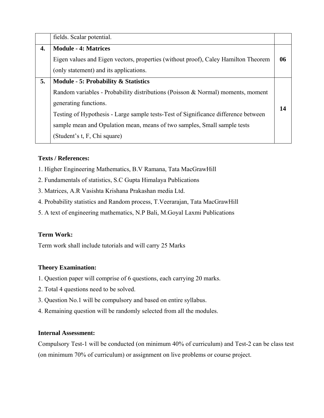|    | fields. Scalar potential.                                                                                                                                                                                                                                                                                                                                     |    |
|----|---------------------------------------------------------------------------------------------------------------------------------------------------------------------------------------------------------------------------------------------------------------------------------------------------------------------------------------------------------------|----|
| 4. | <b>Module - 4: Matrices</b><br>Eigen values and Eigen vectors, properties (without proof), Caley Hamilton Theorem<br>(only statement) and its applications.                                                                                                                                                                                                   | 06 |
| 5. | <b>Module - 5: Probability &amp; Statistics</b><br>Random variables - Probability distributions (Poisson & Normal) moments, moment<br>generating functions.<br>Testing of Hypothesis - Large sample tests-Test of Significance difference between<br>sample mean and Opulation mean, means of two samples, Small sample tests<br>(Student's t, F, Chi square) | 14 |

- 1. Higher Engineering Mathematics, B.V Ramana, Tata MacGrawHill
- 2. Fundamentals of statistics, S.C Gupta Himalaya Publications
- 3. Matrices, A.R Vasishta Krishana Prakashan media Ltd.
- 4. Probability statistics and Random process, T.Veerarajan, Tata MacGrawHill
- 5. A text of engineering mathematics, N.P Bali, M.Goyal Laxmi Publications

#### **Term Work:**

Term work shall include tutorials and will carry 25 Marks

#### **Theory Examination:**

- 1. Question paper will comprise of 6 questions, each carrying 20 marks.
- 2. Total 4 questions need to be solved.
- 3. Question No.1 will be compulsory and based on entire syllabus.
- 4. Remaining question will be randomly selected from all the modules.

#### **Internal Assessment:**

Compulsory Test-1 will be conducted (on minimum 40% of curriculum) and Test-2 can be class test (on minimum 70% of curriculum) or assignment on live problems or course project.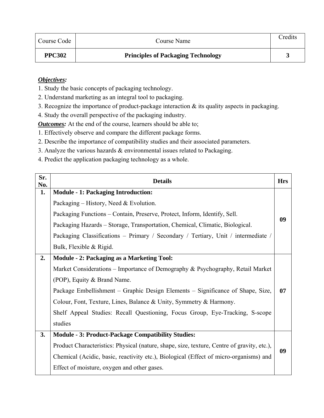| Course Code   | Course Name                               | Credits |
|---------------|-------------------------------------------|---------|
| <b>PPC302</b> | <b>Principles of Packaging Technology</b> |         |

- 1. Study the basic concepts of packaging technology.
- 2. Understand marketing as an integral tool to packaging.
- 3. Recognize the importance of product-package interaction & its quality aspects in packaging.
- 4. Study the overall perspective of the packaging industry.

*Outcomes:* At the end of the course, learners should be able to;

1. Effectively observe and compare the different package forms.

- 2. Describe the importance of compatibility studies and their associated parameters.
- 3. Analyze the various hazards & environmental issues related to Packaging.
- 4. Predict the application packaging technology as a whole.

| Sr.<br>No. | <b>Details</b>                                                                             | <b>Hrs</b> |
|------------|--------------------------------------------------------------------------------------------|------------|
| 1.         | <b>Module - 1: Packaging Introduction:</b>                                                 |            |
|            | Packaging – History, Need & Evolution.                                                     |            |
|            | Packaging Functions – Contain, Preserve, Protect, Inform, Identify, Sell.                  |            |
|            | Packaging Hazards – Storage, Transportation, Chemical, Climatic, Biological.               | 09         |
|            | Packaging Classifications - Primary / Secondary / Tertiary, Unit / intermediate /          |            |
|            | Bulk, Flexible & Rigid.                                                                    |            |
| 2.         | <b>Module - 2: Packaging as a Marketing Tool:</b>                                          |            |
|            | Market Considerations – Importance of Demography & Psychography, Retail Market             |            |
|            | (POP), Equity & Brand Name.                                                                |            |
|            | Package Embellishment – Graphic Design Elements – Significance of Shape, Size,             | 07         |
|            | Colour, Font, Texture, Lines, Balance & Unity, Symmetry & Harmony.                         |            |
|            | Shelf Appeal Studies: Recall Questioning, Focus Group, Eye-Tracking, S-scope               |            |
|            | studies                                                                                    |            |
| 3.         | <b>Module - 3: Product-Package Compatibility Studies:</b>                                  |            |
|            | Product Characteristics: Physical (nature, shape, size, texture, Centre of gravity, etc.), |            |
|            | Chemical (Acidic, basic, reactivity etc.), Biological (Effect of micro-organisms) and      | 09         |
|            | Effect of moisture, oxygen and other gases.                                                |            |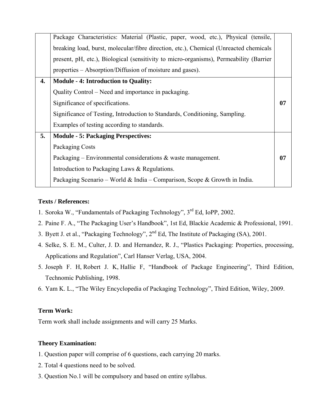|    | Package Characteristics: Material (Plastic, paper, wood, etc.), Physical (tensile,     |    |
|----|----------------------------------------------------------------------------------------|----|
|    | breaking load, burst, molecular/fibre direction, etc.), Chemical (Unreacted chemicals  |    |
|    | present, pH, etc.), Biological (sensitivity to micro-organisms), Permeability (Barrier |    |
|    | properties – Absorption/Diffusion of moisture and gases).                              |    |
| 4. | <b>Module - 4: Introduction to Quality:</b>                                            |    |
|    | Quality Control – Need and importance in packaging.                                    |    |
|    | Significance of specifications.                                                        | 07 |
|    | Significance of Testing, Introduction to Standards, Conditioning, Sampling.            |    |
|    | Examples of testing according to standards.                                            |    |
| 5. | <b>Module - 5: Packaging Perspectives:</b>                                             |    |
|    | Packaging Costs                                                                        |    |
|    | Packaging – Environmental considerations $\&$ waste management.                        | 07 |
|    | Introduction to Packaging Laws & Regulations.                                          |    |
|    | Packaging Scenario – World & India – Comparison, Scope & Growth in India.              |    |

- 1. Soroka W., "Fundamentals of Packaging Technology", 3rd Ed, IoPP, 2002.
- 2. Paine F. A., "The Packaging User's Handbook", 1st Ed, Blackie Academic & Professional, 1991.
- 3. Byett J. et al., "Packaging Technology", 2nd Ed, The Institute of Packaging (SA), 2001.
- 4. Selke, S. E. M., Culter, J. D. and Hernandez, R. J., "Plastics Packaging: Properties, processing, Applications and Regulation", Carl Hanser Verlag, USA, 2004.
- 5. Joseph F. H, Robert J. K, Hallie F, "Handbook of Package Engineering", Third Edition, Technomic Publishing, 1998.
- 6. Yam K. L., "The Wiley Encyclopedia of Packaging Technology", Third Edition, Wiley, 2009.

#### **Term Work:**

Term work shall include assignments and will carry 25 Marks.

#### **Theory Examination:**

- 1. Question paper will comprise of 6 questions, each carrying 20 marks.
- 2. Total 4 questions need to be solved.
- 3. Question No.1 will be compulsory and based on entire syllabus.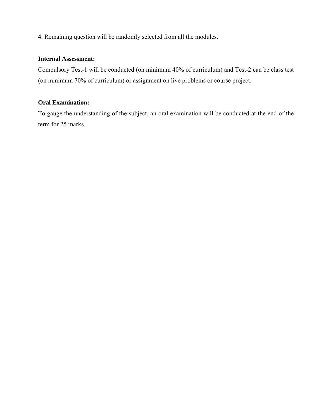4. Remaining question will be randomly selected from all the modules.

#### **Internal Assessment:**

Compulsory Test-1 will be conducted (on minimum 40% of curriculum) and Test-2 can be class test (on minimum 70% of curriculum) or assignment on live problems or course project.

### **Oral Examination:**

To gauge the understanding of the subject, an oral examination will be conducted at the end of the term for 25 marks.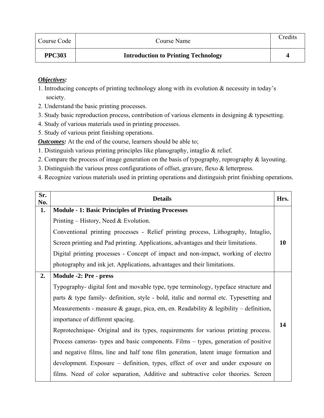| Course Code   | Course Name                                | Credits |
|---------------|--------------------------------------------|---------|
| <b>PPC303</b> | <b>Introduction to Printing Technology</b> |         |

- 1. Introducing concepts of printing technology along with its evolution & necessity in today's society.
- 2. Understand the basic printing processes.
- 3. Study basic reproduction process, contribution of various elements in designing & typesetting.
- 4. Study of various materials used in printing processes.
- 5. Study of various print finishing operations.

**Outcomes:** At the end of the course, learners should be able to;

- 1. Distinguish various printing principles like planography, intaglio & relief.
- 2. Compare the process of image generation on the basis of typography, reprography & layouting.
- 3. Distinguish the various press configurations of offset, gravure, flexo & letterpress.
- 4. Recognize various materials used in printing operations and distinguish print finishing operations.

| Sr.<br>No. | <b>Details</b>                                                                        | Hrs. |
|------------|---------------------------------------------------------------------------------------|------|
| 1.         | <b>Module - 1: Basic Principles of Printing Processes</b>                             |      |
|            | Printing – History, Need & Evolution.                                                 |      |
|            | Conventional printing processes - Relief printing process, Lithography, Intaglio,     |      |
|            | Screen printing and Pad printing. Applications, advantages and their limitations.     | 10   |
|            | Digital printing processes - Concept of impact and non-impact, working of electro     |      |
|            | photography and ink jet. Applications, advantages and their limitations.              |      |
| 2.         | Module -2: Pre - press                                                                |      |
|            | Typography- digital font and movable type, type terminology, typeface structure and   |      |
|            | parts & type family- definition, style - bold, italic and normal etc. Typesetting and |      |
|            | Measurements - measure & gauge, pica, em, en. Readability & legibility - definition,  |      |
|            | importance of different spacing.                                                      | 14   |
|            | Reprotechnique- Original and its types, requirements for various printing process.    |      |
|            | Process cameras- types and basic components. Films – types, generation of positive    |      |
|            | and negative films, line and half tone film generation, latent image formation and    |      |
|            | development. Exposure – definition, types, effect of over and under exposure on       |      |
|            | films. Need of color separation, Additive and subtractive color theories. Screen      |      |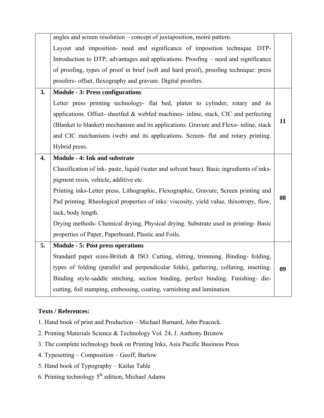|                  | angles and screen resolution – concept of juxtaposition, moiré pattern.                   |    |
|------------------|-------------------------------------------------------------------------------------------|----|
|                  | Layout and imposition- need and significance of imposition technique. DTP-                |    |
|                  | Introduction to DTP, advantages and applications. Proofing – need and significance        |    |
|                  | of proofing, types of proof in brief (soft and hard proof), proofing technique: press     |    |
|                  | proofers- offset, flexography and gravure. Digital proofers.                              |    |
| 3.               | <b>Module - 3: Press configurations</b>                                                   |    |
|                  | Letter press printing technology- flat bed, platen to cylinder, rotary and its            |    |
|                  | applications. Offset- sheetfed & webfed machines- inline, stack, CIC and perfecting       |    |
|                  | (Blanket to blanket) mechanism and its applications. Gravure and Flexo-inline, stack      | 11 |
|                  | and CIC mechanisms (web) and its applications. Screen- flat and rotary printing.          |    |
|                  | Hybrid press.                                                                             |    |
| $\overline{4}$ . | Module - 4: Ink and substrate                                                             |    |
|                  | Classification of ink- paste, liquid (water and solvent base). Basic ingredients of inks- |    |
|                  | pigment resin, vehicle, additive etc.                                                     |    |
|                  | Printing inks-Letter press, Lithographic, Flexographic, Gravure, Screen printing and      |    |
|                  | Pad printing. Rheological properties of inks: viscosity, yield value, thixotropy, flow,   | 08 |
|                  | tack, body length.                                                                        |    |
|                  | Drying methods- Chemical drying, Physical drying. Substrate used in printing- Basic       |    |
|                  | properties of Paper, Paperboard, Plastic and Foils.                                       |    |
| 5.               | <b>Module - 5: Post press operations</b>                                                  |    |
|                  | Standard paper sizes-British & ISO. Cutting, slitting, trimming. Binding- folding,        |    |
|                  | types of folding (parallel and perpendicular folds), gathering, collating, insetting.     | 09 |
|                  | Binding style-saddle stitching, section binding, perfect binding. Finishing- die-         |    |
|                  |                                                                                           |    |
|                  | cutting, foil stamping, embossing, coating, varnishing and lamination.                    |    |

- 1. Hand book of print and Production Michael Barnard, John Peacock.
- 2. Printing Materials Science & Technology Vol. 24, J. Anthony Bristow
- 3. The complete technology book on Printing Inks, Asia Pacific Business Press
- 4. Typesetting Composition Geoff, Barlow
- 5. Hand book of Typography Kailas Tahle
- 6. Printing technology  $5<sup>th</sup>$  edition, Michael Adams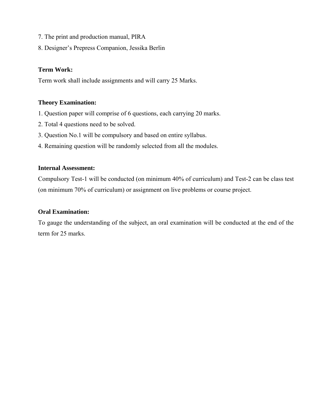- 7. The print and production manual, PIRA
- 8. Designer's Prepress Companion, Jessika Berlin

#### **Term Work:**

Term work shall include assignments and will carry 25 Marks.

#### **Theory Examination:**

- 1. Question paper will comprise of 6 questions, each carrying 20 marks.
- 2. Total 4 questions need to be solved.
- 3. Question No.1 will be compulsory and based on entire syllabus.
- 4. Remaining question will be randomly selected from all the modules.

#### **Internal Assessment:**

Compulsory Test-1 will be conducted (on minimum 40% of curriculum) and Test-2 can be class test (on minimum 70% of curriculum) or assignment on live problems or course project.

#### **Oral Examination:**

To gauge the understanding of the subject, an oral examination will be conducted at the end of the term for 25 marks.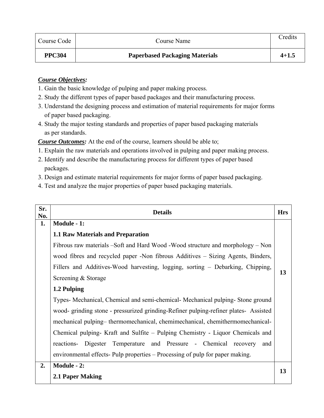| Course Code   | Course Name                           | Credits   |
|---------------|---------------------------------------|-----------|
| <b>PPC304</b> | <b>Paperbased Packaging Materials</b> | $4 + 1.5$ |

## *Course Objectives:*

- 1. Gain the basic knowledge of pulping and paper making process.
- 2. Study the different types of paper based packages and their manufacturing process.
- 3. Understand the designing process and estimation of material requirements for major forms of paper based packaging.
- 4. Study the major testing standards and properties of paper based packaging materials as per standards.

*Course Outcomes:* At the end of the course, learners should be able to;

- 1. Explain the raw materials and operations involved in pulping and paper making process.
- 2. Identify and describe the manufacturing process for different types of paper based packages.
- 3. Design and estimate material requirements for major forms of paper based packaging.
- 4. Test and analyze the major properties of paper based packaging materials.

| Sr.<br>No. | <b>Details</b>                                                                       | <b>Hrs</b> |
|------------|--------------------------------------------------------------------------------------|------------|
| 1.         | Module - 1:                                                                          |            |
|            | <b>1.1 Raw Materials and Preparation</b>                                             |            |
|            | Fibrous raw materials –Soft and Hard Wood -Wood structure and morphology – Non       |            |
|            | wood fibres and recycled paper -Non fibrous Additives – Sizing Agents, Binders,      |            |
|            | Fillers and Additives-Wood harvesting, logging, sorting - Debarking, Chipping,       |            |
|            | Screening & Storage                                                                  | 13         |
|            | 1.2 Pulping                                                                          |            |
|            | Types- Mechanical, Chemical and semi-chemical- Mechanical pulping- Stone ground      |            |
|            | wood- grinding stone - pressurized grinding-Refiner pulping-refiner plates- Assisted |            |
|            | mechanical pulping-thermomechanical, chemimechanical, chemithermomechanical-         |            |
|            | Chemical pulping- Kraft and Sulfite – Pulping Chemistry - Liquor Chemicals and       |            |
|            | reactions- Digester Temperature and Pressure - Chemical recovery<br>and              |            |
|            | environmental effects- Pulp properties – Processing of pulp for paper making.        |            |
| 2.         | Module - 2:                                                                          |            |
|            | 2.1 Paper Making                                                                     | 13         |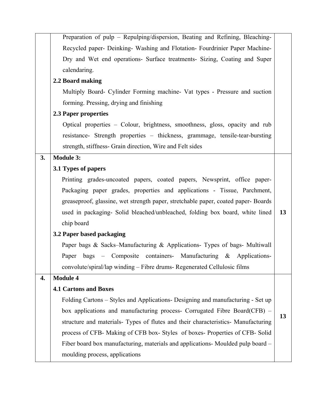|    | Preparation of pulp - Repulping/dispersion, Beating and Refining, Bleaching-      |    |
|----|-----------------------------------------------------------------------------------|----|
|    | Recycled paper- Deinking- Washing and Flotation- Fourdrinier Paper Machine-       |    |
|    | Dry and Wet end operations- Surface treatments- Sizing, Coating and Super         |    |
|    | calendaring.                                                                      |    |
|    | 2.2 Board making                                                                  |    |
|    | Multiply Board- Cylinder Forming machine- Vat types - Pressure and suction        |    |
|    | forming. Pressing, drying and finishing                                           |    |
|    | 2.3 Paper properties                                                              |    |
|    | Optical properties – Colour, brightness, smoothness, gloss, opacity and rub       |    |
|    | resistance- Strength properties - thickness, grammage, tensile-tear-bursting      |    |
|    | strength, stiffness- Grain direction, Wire and Felt sides                         |    |
| 3. | <b>Module 3:</b>                                                                  |    |
|    | 3.1 Types of papers                                                               |    |
|    | Printing grades-uncoated papers, coated papers, Newsprint, office paper-          |    |
|    | Packaging paper grades, properties and applications - Tissue, Parchment,          |    |
|    | greaseproof, glassine, wet strength paper, stretchable paper, coated paper-Boards |    |
|    | used in packaging- Solid bleached/unbleached, folding box board, white lined      | 13 |
|    | chip board                                                                        |    |
|    | 3.2 Paper based packaging                                                         |    |
|    | Paper bags & Sacks-Manufacturing & Applications- Types of bags- Multiwall         |    |
|    | bags – Composite containers- Manufacturing & Applications-<br>Paper               |    |
|    | convolute/spiral/lap winding - Fibre drums- Regenerated Cellulosic films          |    |
| 4. | <b>Module 4</b>                                                                   |    |
|    | <b>4.1 Cartons and Boxes</b>                                                      |    |
|    | Folding Cartons - Styles and Applications- Designing and manufacturing - Set up   |    |
|    | box applications and manufacturing process- Corrugated Fibre Board(CFB) –         |    |
|    | structure and materials- Types of flutes and their characteristics- Manufacturing | 13 |
|    | process of CFB- Making of CFB box- Styles of boxes- Properties of CFB- Solid      |    |
|    | Fiber board box manufacturing, materials and applications- Moulded pulp board -   |    |
|    | moulding process, applications                                                    |    |
|    |                                                                                   |    |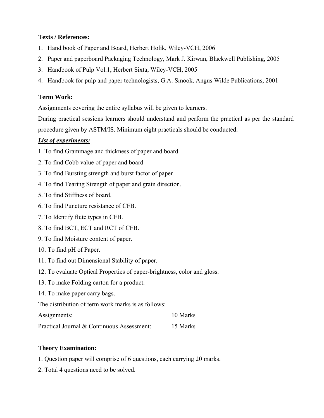- 1. Hand book of Paper and Board, Herbert Holik, Wiley-VCH, 2006
- 2. Paper and paperboard Packaging Technology, Mark J. Kirwan, Blackwell Publishing, 2005
- 3. Handbook of Pulp Vol.1, Herbert Sixta, Wiley-VCH, 2005
- 4. Handbook for pulp and paper technologists, G.A. Smook, Angus Wilde Publications, 2001

## **Term Work:**

Assignments covering the entire syllabus will be given to learners.

During practical sessions learners should understand and perform the practical as per the standard procedure given by ASTM/IS. Minimum eight practicals should be conducted.

## *List of experiments:*

- 1. To find Grammage and thickness of paper and board
- 2. To find Cobb value of paper and board
- 3. To find Bursting strength and burst factor of paper
- 4. To find Tearing Strength of paper and grain direction.
- 5. To find Stiffness of board.
- 6. To find Puncture resistance of CFB.
- 7. To Identify flute types in CFB.
- 8. To find BCT, ECT and RCT of CFB.
- 9. To find Moisture content of paper.
- 10. To find pH of Paper.
- 11. To find out Dimensional Stability of paper.
- 12. To evaluate Optical Properties of paper-brightness, color and gloss.
- 13. To make Folding carton for a product.
- 14. To make paper carry bags.

The distribution of term work marks is as follows:

| Assignments: | 10 Marks |
|--------------|----------|
|--------------|----------|

| Practical Journal & Continuous Assessment: | 15 Marks |
|--------------------------------------------|----------|
|--------------------------------------------|----------|

#### **Theory Examination:**

- 1. Question paper will comprise of 6 questions, each carrying 20 marks.
- 2. Total 4 questions need to be solved.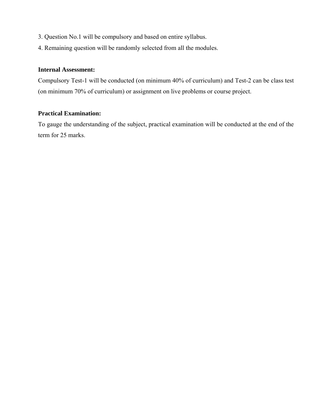- 3. Question No.1 will be compulsory and based on entire syllabus.
- 4. Remaining question will be randomly selected from all the modules.

## **Internal Assessment:**

Compulsory Test-1 will be conducted (on minimum 40% of curriculum) and Test-2 can be class test (on minimum 70% of curriculum) or assignment on live problems or course project.

#### **Practical Examination:**

To gauge the understanding of the subject, practical examination will be conducted at the end of the term for 25 marks.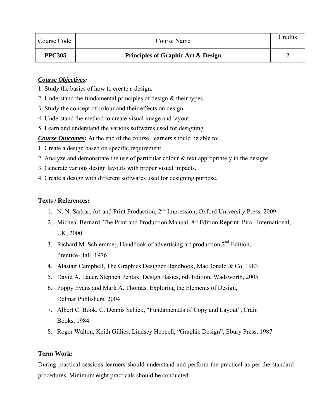| Course Code   | Course Name                                   | Credits |
|---------------|-----------------------------------------------|---------|
| <b>PPC305</b> | <b>Principles of Graphic Art &amp; Design</b> |         |

#### *Course Objectives:*

- 1. Study the basics of how to create a design.
- 2. Understand the fundamental principles of design & their types.
- 3. Study the concept of colour and their effects on design.
- 4. Understand the method to create visual image and layout.
- 5. Learn and understand the various softwares used for designing.

*Course Outcomes:* At the end of the course, learners should be able to;

- 1. Create a design based on specific requirement.
- 2. Analyze and demonstrate the use of particular colour & text appropriately in the designs.
- 3. Generate various design layouts with proper visual impacts.
- 4. Create a design with different softwares used for designing purpose.

#### **Texts / References:**

- 1. N. N. Sarkar, Art and Print Production, 2nd Impression, Oxford University Press, 2009.
- 2. Micheal Bernard, The Print and Production Manual, 8<sup>th</sup> Edition Reprint, Pira International, UK, 2000.
- 3. Richard M. Schlemmer, Handbook of advertising art production,  $2<sup>nd</sup>$  Edition, Prentice-Hall, 1976
- 4. Alastair Campbell, The Graphics Designer Handbook, MacDonald & Co, 1983
- 5. David A. Lauer, Stephen Pentak, Design Basics, 6th Edition, Wadsworth, 2005
- 6. Poppy Evans and Mark A. Thomas, Exploring the Elements of Design, Delmar Publishers, 2004
- 7. Albert C. Book, C. Dennis Schick, "Fundamentals of Copy and Layout", Crain Books, 1984
- 8. Roger Walton, Keith Gillies, Lindsey Heppell, "Graphic Design", Ebury Press, 1987

#### **Term Work:**

During practical sessions learners should understand and perform the practical as per the standard procedures. Minimum eight practicals should be conducted.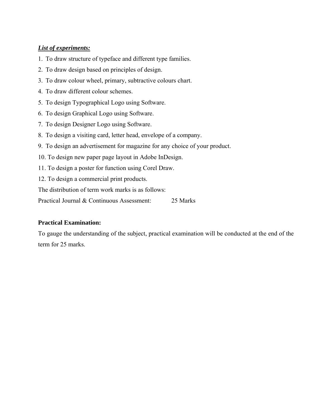## *List of experiments:*

- 1. To draw structure of typeface and different type families.
- 2. To draw design based on principles of design.
- 3. To draw colour wheel, primary, subtractive colours chart.
- 4. To draw different colour schemes.
- 5. To design Typographical Logo using Software.
- 6. To design Graphical Logo using Software.
- 7. To design Designer Logo using Software.
- 8. To design a visiting card, letter head, envelope of a company.
- 9. To design an advertisement for magazine for any choice of your product.
- 10. To design new paper page layout in Adobe InDesign.
- 11. To design a poster for function using Corel Draw.
- 12. To design a commercial print products.

The distribution of term work marks is as follows:

Practical Journal & Continuous Assessment: 25 Marks

#### **Practical Examination:**

To gauge the understanding of the subject, practical examination will be conducted at the end of the term for 25 marks.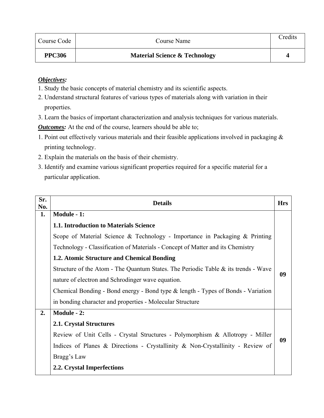| Course Code   | Course Name                              | Credits |
|---------------|------------------------------------------|---------|
| <b>PPC306</b> | <b>Material Science &amp; Technology</b> |         |

- 1. Study the basic concepts of material chemistry and its scientific aspects.
- 2. Understand structural features of various types of materials along with variation in their properties.
- 3. Learn the basics of important characterization and analysis techniques for various materials.

*Outcomes:* At the end of the course, learners should be able to;

- 1. Point out effectively various materials and their feasible applications involved in packaging & printing technology.
- 2. Explain the materials on the basis of their chemistry.
- 3. Identify and examine various significant properties required for a specific material for a particular application.

| Sr.<br>No. | <b>Details</b>                                                                     | <b>Hrs</b> |
|------------|------------------------------------------------------------------------------------|------------|
| 1.         | Module - 1:                                                                        |            |
|            | 1.1. Introduction to Materials Science                                             |            |
|            | Scope of Material Science & Technology - Importance in Packaging & Printing        |            |
|            | Technology - Classification of Materials - Concept of Matter and its Chemistry     |            |
|            | 1.2. Atomic Structure and Chemical Bonding                                         |            |
|            | Structure of the Atom - The Quantum States. The Periodic Table & its trends - Wave |            |
|            | nature of electron and Schrodinger wave equation.                                  | 09         |
|            | Chemical Bonding - Bond energy - Bond type & length - Types of Bonds - Variation   |            |
|            | in bonding character and properties - Molecular Structure                          |            |
| 2.         | Module - 2:                                                                        |            |
|            | <b>2.1. Crystal Structures</b>                                                     |            |
|            | Review of Unit Cells - Crystal Structures - Polymorphism & Allotropy - Miller      |            |
|            | Indices of Planes & Directions - Crystallinity & Non-Crystallinity - Review of     | 09         |
|            | Bragg's Law                                                                        |            |
|            | 2.2. Crystal Imperfections                                                         |            |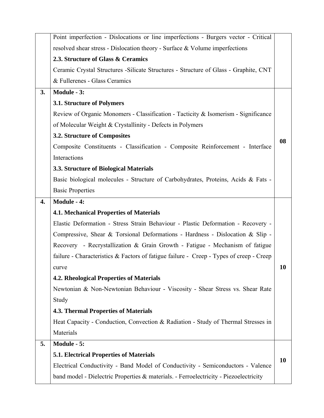|    | Point imperfection - Dislocations or line imperfections - Burgers vector - Critical     |    |
|----|-----------------------------------------------------------------------------------------|----|
|    | resolved shear stress - Dislocation theory - Surface & Volume imperfections             |    |
|    | 2.3. Structure of Glass & Ceramics                                                      |    |
|    | Ceramic Crystal Structures - Silicate Structures - Structure of Glass - Graphite, CNT   |    |
|    | & Fullerenes - Glass Ceramics                                                           |    |
| 3. | Module - 3:                                                                             |    |
|    | 3.1. Structure of Polymers                                                              |    |
|    | Review of Organic Monomers - Classification - Tacticity & Isomerism - Significance      |    |
|    | of Molecular Weight & Crystallinity - Defects in Polymers                               |    |
|    | 3.2. Structure of Composites                                                            | 08 |
|    | Composite Constituents - Classification - Composite Reinforcement - Interface           |    |
|    | Interactions                                                                            |    |
|    | 3.3. Structure of Biological Materials                                                  |    |
|    | Basic biological molecules - Structure of Carbohydrates, Proteins, Acids & Fats -       |    |
|    | <b>Basic Properties</b>                                                                 |    |
| 4. | <b>Module - 4:</b>                                                                      |    |
|    | <b>4.1. Mechanical Properties of Materials</b>                                          |    |
|    |                                                                                         |    |
|    | Elastic Deformation - Stress Strain Behaviour - Plastic Deformation - Recovery -        |    |
|    | Compressive, Shear & Torsional Deformations - Hardness - Dislocation & Slip -           |    |
|    | Recovery - Recrystallization & Grain Growth - Fatigue - Mechanism of fatigue            |    |
|    | failure - Characteristics & Factors of fatigue failure - Creep - Types of creep - Creep |    |
|    | curve                                                                                   | 10 |
|    | 4.2. Rheological Properties of Materials                                                |    |
|    | Newtonian & Non-Newtonian Behaviour - Viscosity - Shear Stress vs. Shear Rate           |    |
|    | Study                                                                                   |    |
|    | <b>4.3. Thermal Properties of Materials</b>                                             |    |
|    | Heat Capacity - Conduction, Convection & Radiation - Study of Thermal Stresses in       |    |
|    | Materials                                                                               |    |
| 5. | Module - 5:                                                                             |    |
|    | 5.1. Electrical Properties of Materials                                                 |    |
|    | Electrical Conductivity - Band Model of Conductivity - Semiconductors - Valence         | 10 |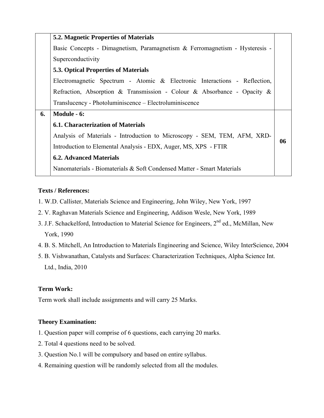| <b>5.2. Magnetic Properties of Materials</b>                                |    |
|-----------------------------------------------------------------------------|----|
| Basic Concepts - Dimagnetism, Paramagnetism & Ferromagnetism - Hysteresis - |    |
| Superconductivity                                                           |    |
| <b>5.3. Optical Properties of Materials</b>                                 |    |
| Electromagnetic Spectrum - Atomic & Electronic Interactions - Reflection,   |    |
| Refraction, Absorption & Transmission - Colour & Absorbance - Opacity &     |    |
| Translucency - Photoluminiscence – Electroluminiscence                      |    |
| Module - 6:                                                                 |    |
| <b>6.1. Characterization of Materials</b>                                   |    |
| Analysis of Materials - Introduction to Microscopy - SEM, TEM, AFM, XRD-    |    |
| Introduction to Elemental Analysis - EDX, Auger, MS, XPS - FTIR             | 06 |
| <b>6.2. Advanced Materials</b>                                              |    |
| Nanomaterials - Biomaterials & Soft Condensed Matter - Smart Materials      |    |
|                                                                             |    |

- 1. W.D. Callister, Materials Science and Engineering, John Wiley, New York, 1997
- 2. V. Raghavan Materials Science and Engineering, Addison Wesle, New York, 1989
- 3. J.F. Schackelford, Introduction to Material Science for Engineers, 2<sup>nd</sup> ed., McMillan, New York, 1990
- 4. B. S. Mitchell, An Introduction to Materials Engineering and Science, Wiley InterScience, 2004
- 5. B. Vishwanathan, Catalysts and Surfaces: Characterization Techniques, Alpha Science Int. Ltd., India, 2010

## **Term Work:**

Term work shall include assignments and will carry 25 Marks.

## **Theory Examination:**

- 1. Question paper will comprise of 6 questions, each carrying 20 marks.
- 2. Total 4 questions need to be solved.
- 3. Question No.1 will be compulsory and based on entire syllabus.
- 4. Remaining question will be randomly selected from all the modules.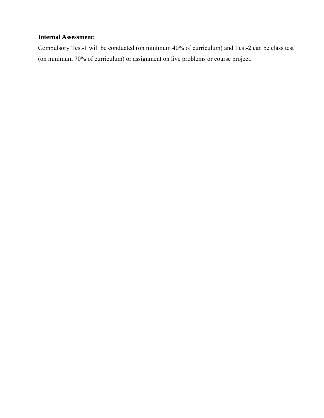## **Internal Assessment:**

Compulsory Test-1 will be conducted (on minimum 40% of curriculum) and Test-2 can be class test (on minimum 70% of curriculum) or assignment on live problems or course project.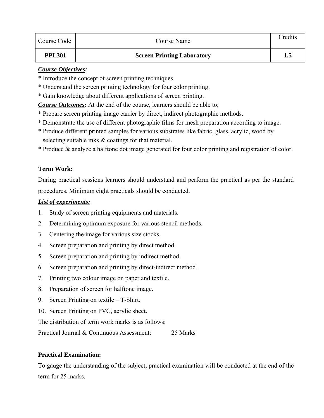| Course Code   | Course Name                       | Credits |
|---------------|-----------------------------------|---------|
| <b>PPL301</b> | <b>Screen Printing Laboratory</b> |         |

#### *Course Objectives:*

- \* Introduce the concept of screen printing techniques.
- \* Understand the screen printing technology for four color printing.
- \* Gain knowledge about different applications of screen printing.

*Course Outcomes:* At the end of the course, learners should be able to;

- \* Prepare screen printing image carrier by direct, indirect photographic methods.
- \* Demonstrate the use of different photographic films for mesh preparation according to image.
- \* Produce different printed samples for various substrates like fabric, glass, acrylic, wood by selecting suitable inks & coatings for that material.
- \* Produce & analyze a halftone dot image generated for four color printing and registration of color.

## **Term Work:**

During practical sessions learners should understand and perform the practical as per the standard procedures. Minimum eight practicals should be conducted.

#### *List of experiments:*

- 1. Study of screen printing equipments and materials.
- 2. Determining optimum exposure for various stencil methods.
- 3. Centering the image for various size stocks.
- 4. Screen preparation and printing by direct method.
- 5. Screen preparation and printing by indirect method.
- 6. Screen preparation and printing by direct-indirect method.
- 7. Printing two colour image on paper and textile.
- 8. Preparation of screen for halftone image.
- 9. Screen Printing on textile T-Shirt.
- 10. Screen Printing on PVC, acrylic sheet.

The distribution of term work marks is as follows:

Practical Journal & Continuous Assessment: 25 Marks

## **Practical Examination:**

To gauge the understanding of the subject, practical examination will be conducted at the end of the term for 25 marks.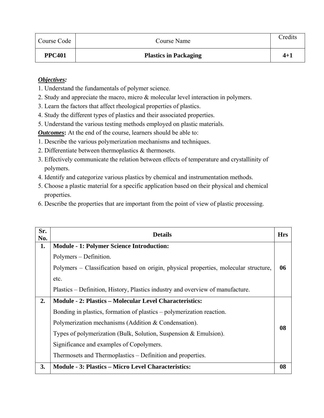| Course Code   | Course Name                  | Credits |
|---------------|------------------------------|---------|
| <b>PPC401</b> | <b>Plastics in Packaging</b> | 4+1     |

- 1. Understand the fundamentals of polymer science.
- 2. Study and appreciate the macro, micro & molecular level interaction in polymers.
- 3. Learn the factors that affect rheological properties of plastics.
- 4. Study the different types of plastics and their associated properties.
- 5. Understand the various testing methods employed on plastic materials.

*Outcomes*: At the end of the course, learners should be able to:

- 1. Describe the various polymerization mechanisms and techniques.
- 2. Differentiate between thermoplastics & thermosets.
- 3. Effectively communicate the relation between effects of temperature and crystallinity of polymers.
- 4. Identify and categorize various plastics by chemical and instrumentation methods.
- 5. Choose a plastic material for a specific application based on their physical and chemical properties.
- 6. Describe the properties that are important from the point of view of plastic processing.

| Sr.<br>No. | <b>Details</b>                                                                       | <b>Hrs</b> |
|------------|--------------------------------------------------------------------------------------|------------|
| 1.         | <b>Module - 1: Polymer Science Introduction:</b>                                     |            |
|            | Polymers – Definition.                                                               |            |
|            | Polymers - Classification based on origin, physical properties, molecular structure, | 06         |
|            | etc.                                                                                 |            |
|            | Plastics – Definition, History, Plastics industry and overview of manufacture.       |            |
| 2.         | <b>Module - 2: Plastics – Molecular Level Characteristics:</b>                       |            |
|            | Bonding in plastics, formation of plastics – polymerization reaction.                |            |
|            | Polymerization mechanisms (Addition & Condensation).                                 | 08         |
|            | Types of polymerization (Bulk, Solution, Suspension $\&$ Emulsion).                  |            |
|            | Significance and examples of Copolymers.                                             |            |
|            | Thermosets and Thermoplastics – Definition and properties.                           |            |
| 3.         | <b>Module - 3: Plastics - Micro Level Characteristics:</b>                           | 08         |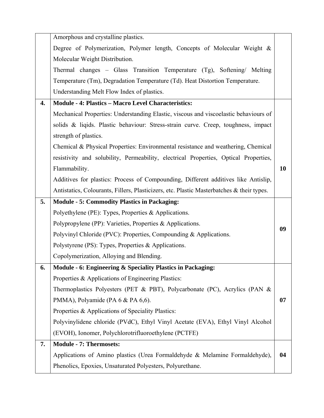|    | Amorphous and crystalline plastics.                                                       |    |
|----|-------------------------------------------------------------------------------------------|----|
|    | Degree of Polymerization, Polymer length, Concepts of Molecular Weight &                  |    |
|    | Molecular Weight Distribution.                                                            |    |
|    | Thermal changes - Glass Transition Temperature (Tg), Softening/ Melting                   |    |
|    | Temperature (Tm), Degradation Temperature (Td). Heat Distortion Temperature.              |    |
|    | Understanding Melt Flow Index of plastics.                                                |    |
| 4. | <b>Module - 4: Plastics - Macro Level Characteristics:</b>                                |    |
|    | Mechanical Properties: Understanding Elastic, viscous and viscoelastic behaviours of      |    |
|    | solids & liqids. Plastic behaviour: Stress-strain curve. Creep, toughness, impact         |    |
|    | strength of plastics.                                                                     |    |
|    | Chemical & Physical Properties: Environmental resistance and weathering, Chemical         |    |
|    | resistivity and solubility, Permeability, electrical Properties, Optical Properties,      |    |
|    | Flammability.                                                                             | 10 |
|    | Additives for plastics: Process of Compounding, Different additives like Antislip,        |    |
|    | Antistatics, Colourants, Fillers, Plasticizers, etc. Plastic Masterbatches & their types. |    |
| 5. | <b>Module - 5: Commodity Plastics in Packaging:</b>                                       |    |
|    | Polyethylene (PE): Types, Properties & Applications.                                      |    |
|    | Polypropylene (PP): Varieties, Properties & Applications.                                 | 09 |
|    | Polyvinyl Chloride (PVC): Properties, Compounding & Applications.                         |    |
|    | Polystyrene (PS): Types, Properties & Applications.                                       |    |
|    | Copolymerization, Alloying and Blending.                                                  |    |
| 6. | Module - 6: Engineering & Speciality Plastics in Packaging:                               |    |
|    | Properties & Applications of Engineering Plastics:                                        |    |
|    | Thermoplastics Polyesters (PET & PBT), Polycarbonate (PC), Acrylics (PAN &                |    |
|    | PMMA), Polyamide (PA 6 & PA 6,6).                                                         | 07 |
|    | Properties & Applications of Speciality Plastics:                                         |    |
|    | Polyvinylidene chloride (PVdC), Ethyl Vinyl Acetate (EVA), Ethyl Vinyl Alcohol            |    |
|    | (EVOH), Ionomer, Polychlorotrifluoroethylene (PCTFE)                                      |    |
| 7. | <b>Module - 7: Thermosets:</b>                                                            |    |
|    | Applications of Amino plastics (Urea Formaldehyde & Melamine Formaldehyde),               | 04 |
|    |                                                                                           |    |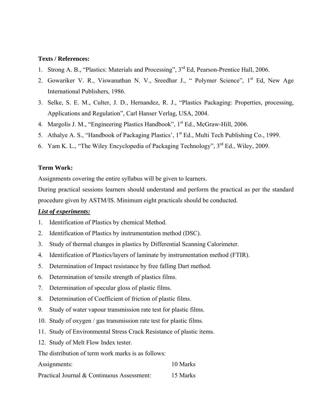- 1. Strong A. B., "Plastics: Materials and Processing", 3<sup>rd</sup> Ed, Pearson-Prentice Hall, 2006.
- 2. Gowariker V. R., Viswanathan N. V., Sreedhar J., " Polymer Science", 1<sup>st</sup> Ed, New Age International Publishers, 1986.
- 3. Selke, S. E. M., Culter, J. D., Hernandez, R. J., "Plastics Packaging: Properties, processing, Applications and Regulation", Carl Hanser Verlag, USA, 2004.
- 4. Margolis J. M., "Engineering Plastics Handbook", 1<sup>st</sup> Ed., McGraw-Hill, 2006.
- 5. Athalye A. S., "Handbook of Packaging Plastics', 1<sup>st</sup> Ed., Multi Tech Publishing Co., 1999.
- 6. Yam K. L., "The Wiley Encyclopedia of Packaging Technology", 3rd Ed., Wiley, 2009.

#### **Term Work:**

Assignments covering the entire syllabus will be given to learners.

During practical sessions learners should understand and perform the practical as per the standard procedure given by ASTM/IS. Minimum eight practicals should be conducted.

#### *List of experiments:*

- 1. Identification of Plastics by chemical Method.
- 2. Identification of Plastics by instrumentation method (DSC).
- 3. Study of thermal changes in plastics by Differential Scanning Calorimeter.
- 4. Identification of Plastics/layers of laminate by instrumentation method (FTIR).
- 5. Determination of Impact resistance by free falling Dart method.
- 6. Determination of tensile strength of plastics films.
- 7. Determination of specular gloss of plastic films.
- 8. Determination of Coefficient of friction of plastic films.
- 9. Study of water vapour transmission rate test for plastic films.
- 10. Study of oxygen / gas transmission rate test for plastic films.
- 11. Study of Environmental Stress Crack Resistance of plastic items.
- 12. Study of Melt Flow Index tester.

The distribution of term work marks is as follows:

| Assignments:                               | 10 Marks |
|--------------------------------------------|----------|
| Practical Journal & Continuous Assessment: | 15 Marks |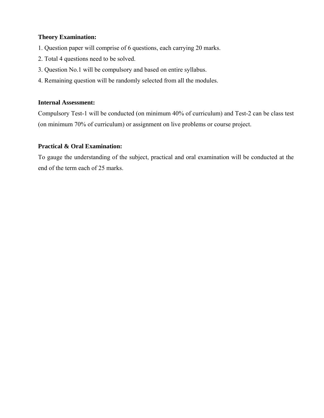#### **Theory Examination:**

- 1. Question paper will comprise of 6 questions, each carrying 20 marks.
- 2. Total 4 questions need to be solved.
- 3. Question No.1 will be compulsory and based on entire syllabus.
- 4. Remaining question will be randomly selected from all the modules.

#### **Internal Assessment:**

Compulsory Test-1 will be conducted (on minimum 40% of curriculum) and Test-2 can be class test (on minimum 70% of curriculum) or assignment on live problems or course project.

#### **Practical & Oral Examination:**

To gauge the understanding of the subject, practical and oral examination will be conducted at the end of the term each of 25 marks.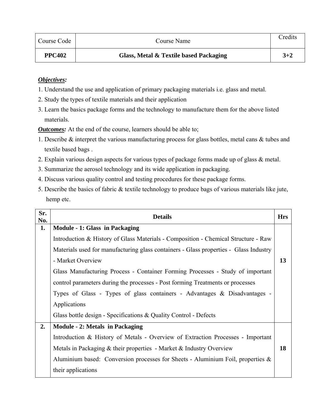| Course Code   | Course Name                            | Credits |
|---------------|----------------------------------------|---------|
| <b>PPC402</b> | Glass, Metal & Textile based Packaging | $3 + 2$ |

- 1. Understand the use and application of primary packaging materials i.e. glass and metal.
- 2. Study the types of textile materials and their application
- 3. Learn the basics package forms and the technology to manufacture them for the above listed materials.

*Outcomes:* At the end of the course, learners should be able to;

- 1. Describe & interpret the various manufacturing process for glass bottles, metal cans & tubes and textile based bags .
- 2. Explain various design aspects for various types of package forms made up of glass & metal.
- 3. Summarize the aerosol technology and its wide application in packaging.
- 4. Discuss various quality control and testing procedures for these package forms.
- 5. Describe the basics of fabric & textile technology to produce bags of various materials like jute, hemp etc.

| Sr.<br>No. | <b>Details</b>                                                                        | <b>Hrs</b> |
|------------|---------------------------------------------------------------------------------------|------------|
| 1.         | <b>Module - 1: Glass in Packaging</b>                                                 |            |
|            | Introduction & History of Glass Materials - Composition - Chemical Structure - Raw    |            |
|            | Materials used for manufacturing glass containers - Glass properties - Glass Industry |            |
|            | - Market Overview                                                                     | 13         |
|            | Glass Manufacturing Process - Container Forming Processes - Study of important        |            |
|            | control parameters during the processes - Post forming Treatments or processes        |            |
|            | Types of Glass - Types of glass containers - Advantages & Disadvantages -             |            |
|            | Applications                                                                          |            |
|            | Glass bottle design - Specifications $\&$ Quality Control - Defects                   |            |
| 2.         | <b>Module - 2: Metals in Packaging</b>                                                |            |
|            | Introduction & History of Metals - Overview of Extraction Processes - Important       |            |
|            | Metals in Packaging $&$ their properties - Market $&$ Industry Overview               | 18         |
|            | Aluminium based: Conversion processes for Sheets - Aluminium Foil, properties $\&$    |            |
|            | their applications                                                                    |            |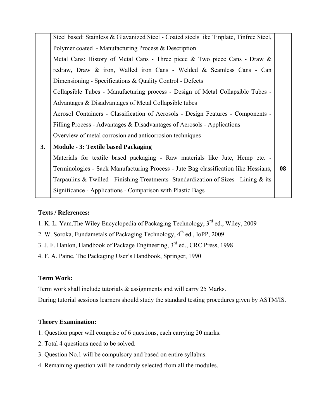|    | Steel based: Stainless & Glavanized Steel - Coated steels like Tinplate, Tinfree Steel, |    |
|----|-----------------------------------------------------------------------------------------|----|
|    | Polymer coated - Manufacturing Process & Description                                    |    |
|    | Metal Cans: History of Metal Cans - Three piece & Two piece Cans - Draw &               |    |
|    | redraw, Draw & iron, Walled iron Cans - Welded & Seamless Cans - Can                    |    |
|    | Dimensioning - Specifications & Quality Control - Defects                               |    |
|    | Collapsible Tubes - Manufacturing process - Design of Metal Collapsible Tubes -         |    |
|    | Advantages & Disadvantages of Metal Collapsible tubes                                   |    |
|    | Aerosol Containers - Classification of Aerosols - Design Features - Components -        |    |
|    | Filling Process - Advantages & Disadvantages of Aerosols - Applications                 |    |
|    | Overview of metal corrosion and anticorrosion techniques                                |    |
| 3. | <b>Module - 3: Textile based Packaging</b>                                              |    |
|    | Materials for textile based packaging - Raw materials like Jute, Hemp etc. -            |    |
|    | Terminologies - Sack Manufacturing Process - Jute Bag classification like Hessians,     | 08 |
|    | Tarpaulins & Twilled - Finishing Treatments -Standardization of Sizes - Lining $\&$ its |    |
|    | Significance - Applications - Comparison with Plastic Bags                              |    |

- 1. K. L. Yam,The Wiley Encyclopedia of Packaging Technology, 3rd ed., Wiley, 2009
- 2. W. Soroka, Fundametals of Packaging Technology, 4<sup>th</sup> ed., IoPP, 2009
- 3. J. F. Hanlon, Handbook of Package Engineering, 3rd ed., CRC Press, 1998
- 4. F. A. Paine, The Packaging User's Handbook, Springer, 1990

#### **Term Work:**

Term work shall include tutorials & assignments and will carry 25 Marks.

During tutorial sessions learners should study the standard testing procedures given by ASTM/IS.

#### **Theory Examination:**

- 1. Question paper will comprise of 6 questions, each carrying 20 marks.
- 2. Total 4 questions need to be solved.
- 3. Question No.1 will be compulsory and based on entire syllabus.
- 4. Remaining question will be randomly selected from all the modules.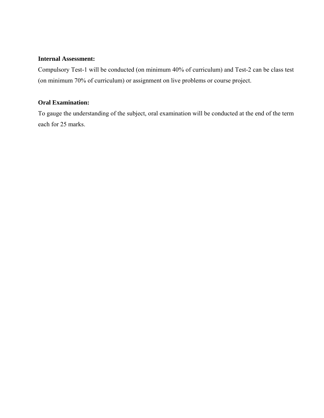#### **Internal Assessment:**

Compulsory Test-1 will be conducted (on minimum 40% of curriculum) and Test-2 can be class test (on minimum 70% of curriculum) or assignment on live problems or course project.

#### **Oral Examination:**

To gauge the understanding of the subject, oral examination will be conducted at the end of the term each for 25 marks.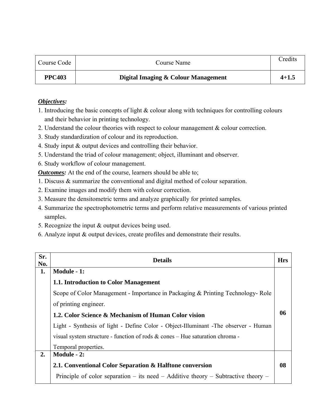| Course Code   | Course Name                         | Credits   |
|---------------|-------------------------------------|-----------|
| <b>PPC403</b> | Digital Imaging & Colour Management | $4 + 1.5$ |

- 1. Introducing the basic concepts of light & colour along with techniques for controlling colours and their behavior in printing technology.
- 2. Understand the colour theories with respect to colour management & colour correction.
- 3. Study standardization of colour and its reproduction.
- 4. Study input & output devices and controlling their behavior.
- 5. Understand the triad of colour management; object, illuminant and observer.
- 6. Study workflow of colour management.

*Outcomes:* At the end of the course, learners should be able to;

- 1. Discuss & summarize the conventional and digital method of colour separation.
- 2. Examine images and modify them with colour correction.
- 3. Measure the densitometric terms and analyze graphically for printed samples.
- 4. Summarize the spectrophotometric terms and perform relative measurements of various printed samples.
- 5. Recognize the input & output devices being used.
- 6. Analyze input & output devices, create profiles and demonstrate their results.

| Sr.<br>No. | <b>Details</b>                                                                       | <b>Hrs</b> |
|------------|--------------------------------------------------------------------------------------|------------|
| 1.         | Module - 1:                                                                          |            |
|            | 1.1. Introduction to Color Management                                                |            |
|            | Scope of Color Management - Importance in Packaging & Printing Technology-Role       |            |
|            | of printing engineer.                                                                |            |
|            | 1.2. Color Science & Mechanism of Human Color vision                                 | 06         |
|            | Light - Synthesis of light - Define Color - Object-Illuminant - The observer - Human |            |
|            | visual system structure - function of rods $\&$ cones - Hue saturation chroma -      |            |
|            | Temporal properties.                                                                 |            |
| 2.         | Module - 2:                                                                          |            |
|            | 2.1. Conventional Color Separation & Halftone conversion                             | 08         |
|            | Principle of color separation – its need – Additive theory – Subtractive theory –    |            |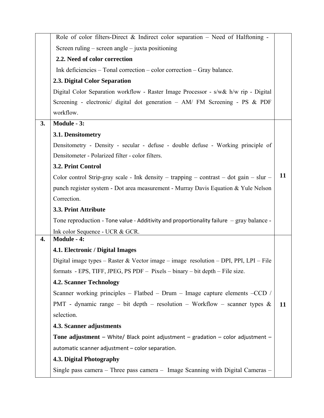|    | Role of color filters-Direct $\&$ Indirect color separation – Need of Halftoning -       |    |
|----|------------------------------------------------------------------------------------------|----|
|    | Screen ruling – screen angle – juxta positioning                                         |    |
|    | 2.2. Need of color correction                                                            |    |
|    | Ink deficiencies – Tonal correction – color correction – Gray balance.                   |    |
|    | 2.3. Digital Color Separation                                                            |    |
|    | Digital Color Separation workflow - Raster Image Processor - s/w& h/w rip - Digital      |    |
|    | Screening - electronic/ digital dot generation - AM/ FM Screening - PS & PDF             |    |
|    | workflow.                                                                                |    |
| 3. | Module - 3:                                                                              |    |
|    | 3.1. Densitometry                                                                        |    |
|    | Densitometry - Density - secular - defuse - double defuse - Working principle of         |    |
|    | Densitometer - Polarized filter - color filters.                                         |    |
|    | 3.2. Print Control                                                                       |    |
|    | Color control Strip-gray scale - Ink density - trapping - contrast - dot gain - slur -   | 11 |
|    | punch register system - Dot area measurement - Murray Davis Equation & Yule Nelson       |    |
|    | Correction.                                                                              |    |
|    | 3.3. Print Attribute                                                                     |    |
|    | Tone reproduction - Tone value - Additivity and proportionality failure – gray balance - |    |
|    | Ink color Sequence - UCR & GCR.                                                          |    |
| 4. | <b>Module - 4:</b>                                                                       |    |
|    | 4.1. Electronic / Digital Images                                                         |    |
|    | Digital image types - Raster & Vector image - image resolution - DPI, PPI, LPI - File    |    |
|    | formats - EPS, TIFF, JPEG, PS PDF $-$ Pixels $-$ binary $-$ bit depth $-$ File size.     |    |
|    | <b>4.2. Scanner Technology</b>                                                           |    |
|    | Scanner working principles – Flatbed – Drum – Image capture elements – CCD /             |    |
|    | PMT - dynamic range – bit depth – resolution – Workflow – scanner types $\&$             | 11 |
|    | selection.                                                                               |    |
|    | 4.3. Scanner adjustments                                                                 |    |
|    | Tone adjustment - White/ Black point adjustment - gradation - color adjustment -         |    |
|    | automatic scanner adjustment - color separation.                                         |    |
|    | 4.3. Digital Photography                                                                 |    |
|    | Single pass camera – Three pass camera – Image Scanning with Digital Cameras –           |    |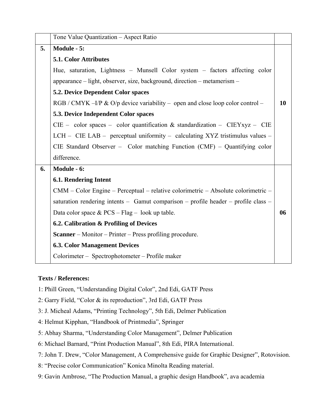|    | Tone Value Quantization - Aspect Ratio                                             |    |
|----|------------------------------------------------------------------------------------|----|
| 5. | Module - 5:                                                                        |    |
|    | <b>5.1. Color Attributes</b>                                                       |    |
|    | Hue, saturation, Lightness - Munsell Color system - factors affecting color        |    |
|    | appearance – light, observer, size, background, direction – metamerism –           |    |
|    | <b>5.2. Device Dependent Color spaces</b>                                          |    |
|    | RGB / CMYK -I/P & O/p device variability - open and close loop color control -     | 10 |
|    | 5.3. Device Independent Color spaces                                               |    |
|    | $CIE$ – color spaces – color quantification & standardization – $CIEYxyz$ – $CIE$  |    |
|    | LCH - CIE LAB - perceptual uniformity - calculating XYZ tristimulus values -       |    |
|    | CIE Standard Observer - Color matching Function $(CMF)$ - Quantifying color        |    |
|    | difference.                                                                        |    |
| 6. | Module - 6:                                                                        |    |
|    | <b>6.1. Rendering Intent</b>                                                       |    |
|    | CMM – Color Engine – Perceptual – relative colorimetric – Absolute colorimetric –  |    |
|    | saturation rendering intents - Gamut comparison - profile header - profile class - |    |
|    | Data color space & $PCS - Flag - look up table$ .                                  | 06 |
|    | 6.2. Calibration & Profiling of Devices                                            |    |
|    | <b>Scanner</b> – Monitor – Printer – Press profiling procedure.                    |    |
|    | <b>6.3. Color Management Devices</b>                                               |    |
|    | Colorimeter – Spectrophotometer – Profile maker                                    |    |

- 1: Phill Green, "Understanding Digital Color", 2nd Edi, GATF Press
- 2: Garry Field, "Color & its reproduction", 3rd Edi, GATF Press
- 3: J. Micheal Adams, "Printing Technology", 5th Edi, Delmer Publication
- 4: Helmut Kipphan, "Handbook of Printmedia", Springer
- 5: Abhay Sharma, "Understanding Color Management", Delmer Publication
- 6: Michael Barnard, "Print Production Manual", 8th Edi, PIRA International.
- 7: John T. Drew, "Color Management, A Comprehensive guide for Graphic Designer", Rotovision.
- 8: "Precise color Communication" Konica Minolta Reading material.
- 9: Gavin Ambrose, "The Production Manual, a graphic design Handbook", ava academia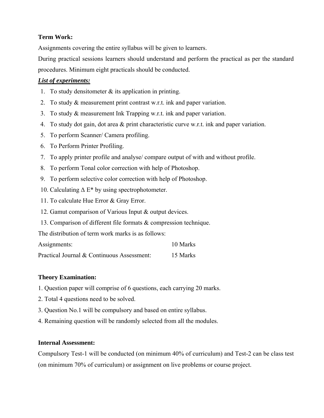## **Term Work:**

Assignments covering the entire syllabus will be given to learners.

During practical sessions learners should understand and perform the practical as per the standard procedures. Minimum eight practicals should be conducted.

## *List of experiments:*

- 1. To study densites the study state is application in printing.
- 2. To study & measurement print contrast w.r.t. ink and paper variation.
- 3. To study & measurement Ink Trapping w.r.t. ink and paper variation.
- 4. To study dot gain, dot area & print characteristic curve w.r.t. ink and paper variation.
- 5. To perform Scanner/ Camera profiling.
- 6. To Perform Printer Profiling.
- 7. To apply printer profile and analyse/ compare output of with and without profile.
- 8. To perform Tonal color correction with help of Photoshop.
- 9. To perform selective color correction with help of Photoshop.
- 10. Calculating  $\Delta E^*$  by using spectrophotometer.
- 11. To calculate Hue Error & Gray Error.
- 12. Gamut comparison of Various Input & output devices.
- 13. Comparison of different file formats & compression technique.

The distribution of term work marks is as follows:

| 10 Marks |
|----------|
|          |

| Practical Journal & Continuous Assessment:<br>15 Marks |
|--------------------------------------------------------|
|--------------------------------------------------------|

#### **Theory Examination:**

- 1. Question paper will comprise of 6 questions, each carrying 20 marks.
- 2. Total 4 questions need to be solved.
- 3. Question No.1 will be compulsory and based on entire syllabus.
- 4. Remaining question will be randomly selected from all the modules.

#### **Internal Assessment:**

Compulsory Test-1 will be conducted (on minimum 40% of curriculum) and Test-2 can be class test (on minimum 70% of curriculum) or assignment on live problems or course project.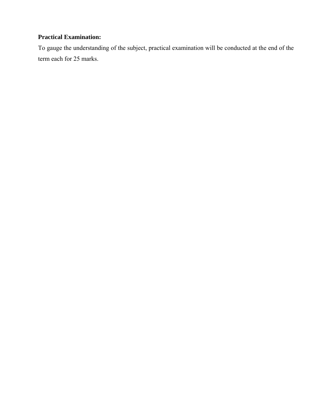## **Practical Examination:**

To gauge the understanding of the subject, practical examination will be conducted at the end of the term each for 25 marks.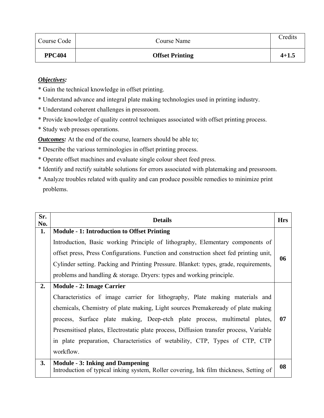| Course Code   | Course Name            | Credits   |
|---------------|------------------------|-----------|
| <b>PPC404</b> | <b>Offset Printing</b> | $4 + 1.5$ |

\* Gain the technical knowledge in offset printing.

- \* Understand advance and integral plate making technologies used in printing industry.
- \* Understand coherent challenges in pressroom.
- \* Provide knowledge of quality control techniques associated with offset printing process.
- \* Study web presses operations.

*Outcomes:* At the end of the course, learners should be able to;

- \* Describe the various terminologies in offset printing process.
- \* Operate offset machines and evaluate single colour sheet feed press.
- \* Identify and rectify suitable solutions for errors associated with platemaking and pressroom.
- \* Analyze troubles related with quality and can produce possible remedies to minimize print problems.

| Sr.<br>No. | <b>Details</b>                                                                                                                    | <b>Hrs</b> |
|------------|-----------------------------------------------------------------------------------------------------------------------------------|------------|
| 1.         | <b>Module - 1: Introduction to Offset Printing</b>                                                                                |            |
|            | Introduction, Basic working Principle of lithography, Elementary components of                                                    |            |
|            | offset press, Press Configurations. Function and construction sheet fed printing unit,                                            | 06         |
|            | Cylinder setting. Packing and Printing Pressure. Blanket: types, grade, requirements,                                             |            |
|            | problems and handling $\&$ storage. Dryers: types and working principle.                                                          |            |
| 2.         | <b>Module - 2: Image Carrier</b>                                                                                                  |            |
|            | Characteristics of image carrier for lithography, Plate making materials and                                                      |            |
|            | chemicals, Chemistry of plate making, Light sources Premakeready of plate making                                                  |            |
|            | process, Surface plate making, Deep-etch plate process, multimetal plates,                                                        | 07         |
|            | Presensitised plates, Electrostatic plate process, Diffusion transfer process, Variable                                           |            |
|            | in plate preparation, Characteristics of wetability, CTP, Types of CTP, CTP                                                       |            |
|            | workflow.                                                                                                                         |            |
| 3.         | <b>Module - 3: Inking and Dampening</b><br>Introduction of typical inking system, Roller covering, Ink film thickness, Setting of | 08         |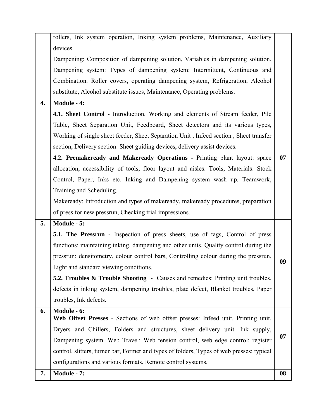|    | rollers, Ink system operation, Inking system problems, Maintenance, Auxiliary                   |    |
|----|-------------------------------------------------------------------------------------------------|----|
|    | devices.                                                                                        |    |
|    | Dampening: Composition of dampening solution, Variables in dampening solution.                  |    |
|    | Dampening system: Types of dampening system: Intermittent, Continuous and                       |    |
|    | Combination. Roller covers, operating dampening system, Refrigeration, Alcohol                  |    |
|    | substitute, Alcohol substitute issues, Maintenance, Operating problems.                         |    |
| 4. | <b>Module - 4:</b>                                                                              |    |
|    | 4.1. Sheet Control - Introduction, Working and elements of Stream feeder, Pile                  |    |
|    | Table, Sheet Separation Unit, Feedboard, Sheet detectors and its various types,                 |    |
|    | Working of single sheet feeder, Sheet Separation Unit, Infeed section, Sheet transfer           |    |
|    | section, Delivery section: Sheet guiding devices, delivery assist devices.                      |    |
|    | 4.2. Premakeready and Makeready Operations - Printing plant layout: space                       | 07 |
|    | allocation, accessibility of tools, floor layout and aisles. Tools, Materials: Stock            |    |
|    | Control, Paper, Inks etc. Inking and Dampening system wash up. Teamwork,                        |    |
|    | Training and Scheduling.                                                                        |    |
|    | Makeready: Introduction and types of makeready, makeready procedures, preparation               |    |
|    | of press for new pressrun, Checking trial impressions.                                          |    |
| 5. | Module - 5:                                                                                     |    |
|    | <b>5.1. The Pressrun -</b> Inspection of press sheets, use of tags, Control of press            |    |
|    | functions: maintaining inking, dampening and other units. Quality control during the            |    |
|    | pressrun: densitometry, colour control bars, Controlling colour during the pressrun,            |    |
|    | Light and standard viewing conditions.                                                          | 09 |
|    | <b>5.2. Troubles &amp; Trouble Shooting - Causes and remedies: Printing unit troubles,</b>      |    |
|    | defects in inking system, dampening troubles, plate defect, Blanket troubles, Paper             |    |
|    | troubles, Ink defects.                                                                          |    |
| 6. | Module - 6:<br>Web Offset Presses - Sections of web offset presses: Infeed unit, Printing unit, |    |
|    | Dryers and Chillers, Folders and structures, sheet delivery unit. Ink supply,                   |    |
|    | Dampening system. Web Travel: Web tension control, web edge control; register                   | 07 |
|    | control, slitters, turner bar, Former and types of folders, Types of web presses: typical       |    |
|    | configurations and various formats. Remote control systems.                                     |    |
|    |                                                                                                 |    |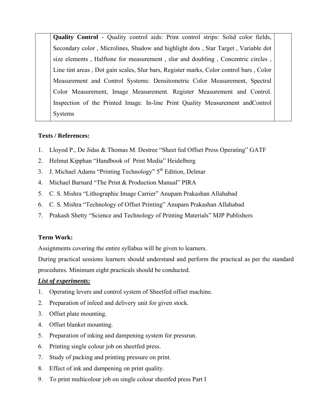**Quality Control** - Quality control aids: Print control strips: Solid color fields, Secondary color , Microlines, Shadow and highlight dots , Star Target , Variable dot size elements , Halftone for measurement , slur and doubling , Concentric circles , Line tint areas , Dot gain scales, Slur bars, Register marks, Color control bars , Color Measurement and Control Systems: Densitometric Color Measurement, Spectral Color Measurement, Image Measurement. Register Measurement and Control. Inspection of the Printed Image. In-line Print Quality Measurement andControl Systems

## **Texts / References:**

- 1. Lloyod P., De Jidas & Thomas M. Destree "Sheet fed Offset Press Operating" GATF
- 2. Helmut Kipphan "Handbook of Print Media" Heidelberg
- 3. J. Michael Adams "Printing Technology"  $5<sup>th</sup>$  Edition, Delmar
- 4. Michael Barnard "The Print & Production Manual" PIRA
- 5. C. S. Mishra "Lithographic Image Carrier" Anupam Prakashan Allahabad
- 6. C. S. Mishra "Technology of Offset Printing" Anupam Prakashan Allahabad
- 7. Prakash Shetty "Science and Technology of Printing Materials" MJP Publishers

#### **Term Work:**

Assignments covering the entire syllabus will be given to learners.

During practical sessions learners should understand and perform the practical as per the standard procedures. Minimum eight practicals should be conducted.

#### *List of experiments:*

- 1. Operating levers and control system of Sheetfed offset machine.
- 2. Preparation of infeed and delivery unit for given stock.
- 3. Offset plate mounting.
- 4. Offset blanket mounting.
- 5. Preparation of inking and dampening system for pressrun.
- 6. Printing single colour job on sheetfed press.
- 7. Study of packing and printing pressure on print.
- 8. Effect of ink and dampening on print quality.
- 9. To print multicolour job on single colour sheetfed press Part I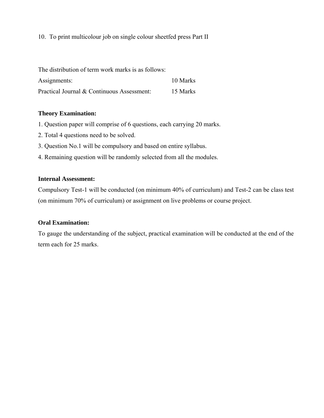10. To print multicolour job on single colour sheetfed press Part II

The distribution of term work marks is as follows:

| Assignments:                               | 10 Marks |
|--------------------------------------------|----------|
| Practical Journal & Continuous Assessment: | 15 Marks |

#### **Theory Examination:**

- 1. Question paper will comprise of 6 questions, each carrying 20 marks.
- 2. Total 4 questions need to be solved.
- 3. Question No.1 will be compulsory and based on entire syllabus.
- 4. Remaining question will be randomly selected from all the modules.

#### **Internal Assessment:**

Compulsory Test-1 will be conducted (on minimum 40% of curriculum) and Test-2 can be class test (on minimum 70% of curriculum) or assignment on live problems or course project.

#### **Oral Examination:**

To gauge the understanding of the subject, practical examination will be conducted at the end of the term each for 25 marks.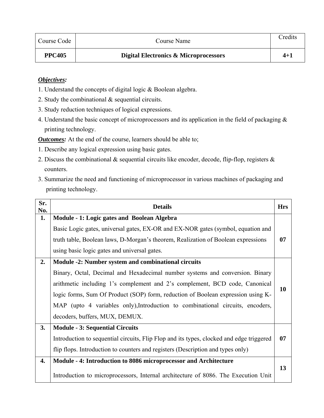| Course Code   | Course Name                           | Credits |
|---------------|---------------------------------------|---------|
| <b>PPC405</b> | Digital Electronics & Microprocessors | $4 + 1$ |

- 1. Understand the concepts of digital logic & Boolean algebra.
- 2. Study the combinational & sequential circuits.
- 3. Study reduction techniques of logical expressions.
- 4. Understand the basic concept of microprocessors and its application in the field of packaging & printing technology.

*Outcomes:* At the end of the course, learners should be able to;

- 1. Describe any logical expression using basic gates.
- 2. Discuss the combinational  $\&$  sequential circuits like encoder, decode, flip-flop, registers  $\&$ counters.
- 3. Summarize the need and functioning of microprocessor in various machines of packaging and printing technology.

| Sr.<br>No. | <b>Details</b>                                                                           | <b>Hrs</b> |
|------------|------------------------------------------------------------------------------------------|------------|
| 1.         | Module - 1: Logic gates and Boolean Algebra                                              |            |
|            | Basic Logic gates, universal gates, EX-OR and EX-NOR gates (symbol, equation and         |            |
|            | truth table, Boolean laws, D-Morgan's theorem, Realization of Boolean expressions        | 07         |
|            | using basic logic gates and universal gates.                                             |            |
| 2.         | Module -2: Number system and combinational circuits                                      |            |
|            | Binary, Octal, Decimal and Hexadecimal number systems and conversion. Binary             |            |
|            | arithmetic including 1's complement and 2's complement, BCD code, Canonical              |            |
|            | logic forms, Sum Of Product (SOP) form, reduction of Boolean expression using K-         | 10         |
|            | MAP (upto 4 variables only), Introduction to combinational circuits, encoders,           |            |
|            | decoders, buffers, MUX, DEMUX.                                                           |            |
| 3.         | <b>Module - 3: Sequential Circuits</b>                                                   |            |
|            | Introduction to sequential circuits, Flip Flop and its types, clocked and edge triggered | 07         |
|            | flip flops. Introduction to counters and registers (Description and types only)          |            |
| 4.         | Module - 4: Introduction to 8086 microprocessor and Architecture                         |            |
|            | Introduction to microprocessors, Internal architecture of 8086. The Execution Unit       | 13         |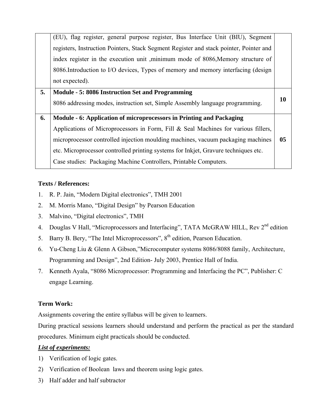|    | (EU), flag register, general purpose register, Bus Interface Unit (BIU), Segment       |                |
|----|----------------------------------------------------------------------------------------|----------------|
|    | registers, Instruction Pointers, Stack Segment Register and stack pointer, Pointer and |                |
|    | index register in the execution unit , minimum mode of 8086, Memory structure of       |                |
|    | 8086. Introduction to I/O devices, Types of memory and memory interfacing (design      |                |
|    | not expected).                                                                         |                |
| 5. | Module - 5: 8086 Instruction Set and Programming                                       |                |
|    | 8086 addressing modes, instruction set, Simple Assembly language programming.          | <b>10</b>      |
| 6. | Module - 6: Application of microprocessors in Printing and Packaging                   |                |
|    | Applications of Microprocessors in Form, Fill $\&$ Seal Machines for various fillers,  |                |
|    | microprocessor controlled injection moulding machines, vacuum packaging machines       | 0 <sub>5</sub> |
|    | etc. Microprocessor controlled printing systems for Inkjet, Gravure techniques etc.    |                |
|    |                                                                                        |                |
|    | Case studies: Packaging Machine Controllers, Printable Computers.                      |                |

- 1. R. P. Jain, "Modern Digital electronics", TMH 2001
- 2. M. Morris Mano, "Digital Design" by Pearson Education
- 3. Malvino, "Digital electronics", TMH
- 4. Douglas V Hall, "Microprocessors and Interfacing", TATA McGRAW HILL, Rev 2<sup>nd</sup> edition
- 5. Barry B. Bery, "The Intel Microprocessors", 8<sup>th</sup> edition, Pearson Education.
- 6. Yu-Cheng Liu & Glenn A Gibson,"Microcomputer systems 8086/8088 family, Architecture, Programming and Design", 2nd Edition- July 2003, Prentice Hall of India.
- 7. Kenneth Ayala, "8086 Microprocessor: Programming and Interfacing the PC", Publisher: C engage Learning.

## **Term Work:**

Assignments covering the entire syllabus will be given to learners.

During practical sessions learners should understand and perform the practical as per the standard procedures. Minimum eight practicals should be conducted.

#### *List of experiments:*

- 1) Verification of logic gates.
- 2) Verification of Boolean laws and theorem using logic gates.
- 3) Half adder and half subtractor